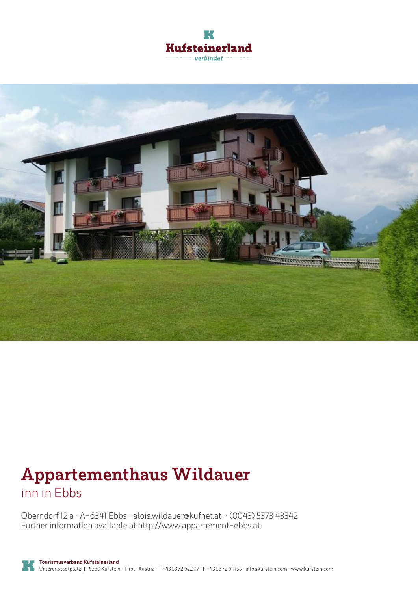



# **Appartementhaus Wildauer** inn in Ebbs

Oberndorf 12 <sup>a</sup> · A-6341 Ebbs · **alois.wildauer@kufnet.at** · **(0043) 5373 43342** Further information available at **http://www.appartement-ebbs.at**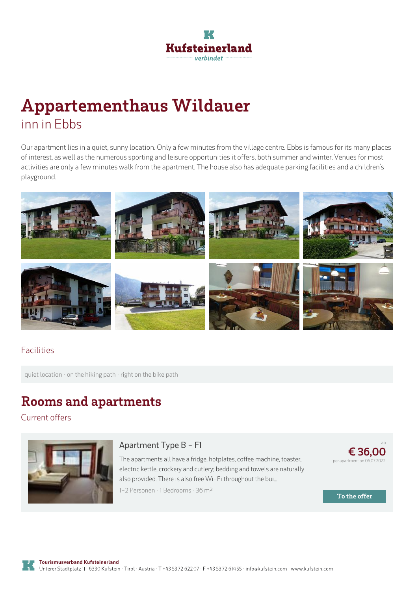

# **Appartementhaus Wildauer** inn in Ebbs

Our apartment lies in <sup>a</sup> quiet, sunny location. Only <sup>a</sup> few minutes from the village centre. Ebbs is famous for its many places of interest, as well as the numerous sporting and leisure opportunities it offers, both summer and winter. Venues for most activities are only a few minutes walk from the apartment. The house also has adequate parking facilities and a children's playground.



### Facilities

quiet location · on the hiking path · right on the bike path

## **Rooms and apartments**

Current offers



#### **[Apartment](https://www.kufstein.com/en/book/ebbs/inn/appartementhaus-wildauer.html?utm_medium=PDF&utm_campaign=Vermieter-Prospekt&utm_source=Appartementhaus+Wildauer) Type B - F1**

The apartments all have <sup>a</sup> fridge, hotplates, coffee machine, toaster, electric kettle, crockery and cutlery; bedding and towels are naturally also provided. There is also free Wi-Fi throughout the bui...

1-2 Personen · 1 Bedrooms · 36 <sup>m</sup><sup>²</sup>

ab **€ 36,00** per apartment on 06.07.2022

**To the offer**